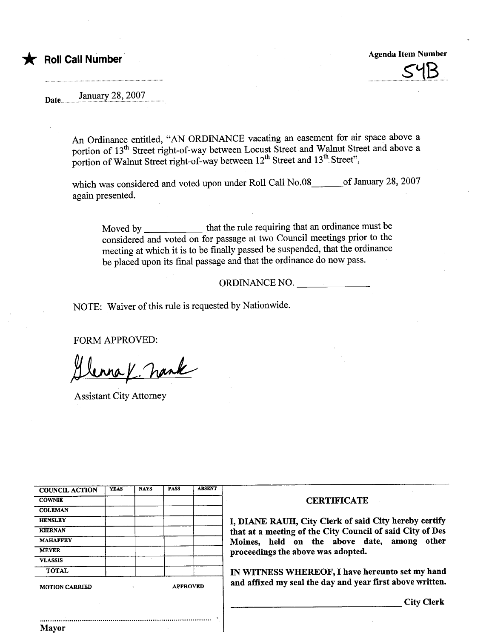## **Roll Call Number**

Agenda Item Number

 $\rightarrow$   $\rightarrow$ 

Date January 28, 2007

An Ordinance entitled, "AN ORDINANCE vacating an easement for air space above a portion of 13<sup>th</sup> Street right-of-way between Locust Street and Walnut Street and above a portion of Walnut Street right-of-way between  $12^{th}$  Street and  $13^{th}$  Street",

which was considered and voted upon under Roll Call No.08 of January 28, 2007 again presented.

Moved by that the rule requiring that an ordinance must be considered and voted on for passage at two Council meetings prior to the meeting at which it is to be finally passed be suspended, that the ordinance be placed upon its final passage and that the ordinance do now pass.

ORDINANCE NO.

NOTE: Waiver of this rule is requested by Nationwide.

FORM APPROVED:<br> $\bigcup_{\text{Area}} \bigcup_{\text{Area}} \bigcup_{\text{Area}} \bigcup_{\text{Area}}$ 

| <b>COUNCIL ACTION</b> | <b>YEAS</b> | <b>NAYS</b> | <b>PASS</b>     | <b>ABSENT</b> |
|-----------------------|-------------|-------------|-----------------|---------------|
| <b>COWNIE</b>         |             |             |                 |               |
| <b>COLEMAN</b>        |             |             |                 |               |
| <b>HENSLEY</b>        |             |             |                 |               |
| <b>KIERNAN</b>        |             |             |                 |               |
| <b>MAHAFFEY</b>       |             |             |                 |               |
| <b>MEYER</b>          |             |             |                 |               |
| <b>VLASSIS</b>        |             |             |                 |               |
| <b>TOTAL</b>          |             |             |                 |               |
| <b>MOTION CARRIED</b> |             |             | <b>APPROVED</b> |               |

..........................................................................................

## **CERTIFICATE**

I, DIANE RAUH, City Clerk of said City hereby certify that at a meeting of the City Council of said City of Des Moines, held on the above date, among other proceedings the above was adopted.

IN WITNESS WHEREOF, I have hereunto set my hand and affixed my seal the day and year first above written.

City Clerk